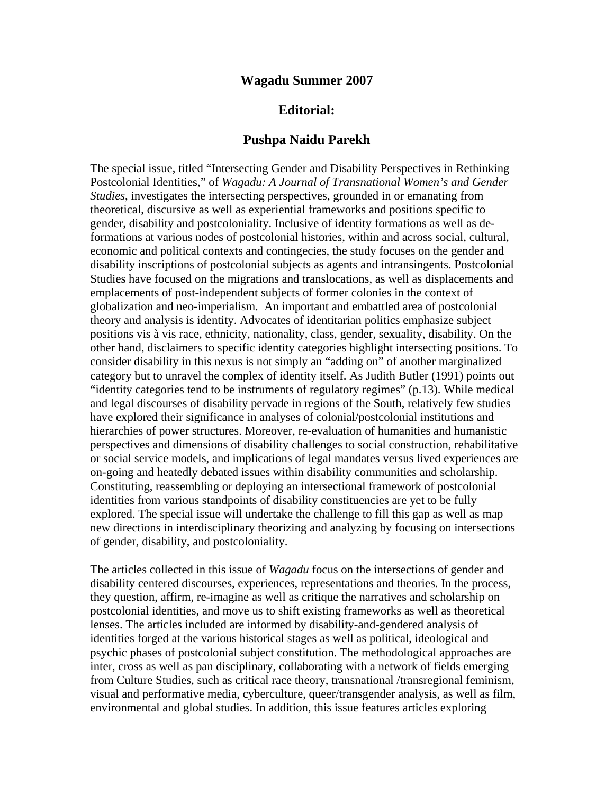## **Wagadu Summer 2007**

# **Editorial:**

### **Pushpa Naidu Parekh**

The special issue, titled "Intersecting Gender and Disability Perspectives in Rethinking Postcolonial Identities," of *Wagadu: A Journal of Transnational Women's and Gender Studies*, investigates the intersecting perspectives, grounded in or emanating from theoretical, discursive as well as experiential frameworks and positions specific to gender, disability and postcoloniality. Inclusive of identity formations as well as deformations at various nodes of postcolonial histories, within and across social, cultural, economic and political contexts and contingecies, the study focuses on the gender and disability inscriptions of postcolonial subjects as agents and intransingents. Postcolonial Studies have focused on the migrations and translocations, as well as displacements and emplacements of post-independent subjects of former colonies in the context of globalization and neo-imperialism. An important and embattled area of postcolonial theory and analysis is identity. Advocates of identitarian politics emphasize subject positions vis à vis race, ethnicity, nationality, class, gender, sexuality, disability. On the other hand, disclaimers to specific identity categories highlight intersecting positions. To consider disability in this nexus is not simply an "adding on" of another marginalized category but to unravel the complex of identity itself. As Judith Butler (1991) points out "identity categories tend to be instruments of regulatory regimes" (p.13). While medical and legal discourses of disability pervade in regions of the South, relatively few studies have explored their significance in analyses of colonial/postcolonial institutions and hierarchies of power structures. Moreover, re-evaluation of humanities and humanistic perspectives and dimensions of disability challenges to social construction, rehabilitative or social service models, and implications of legal mandates versus lived experiences are on-going and heatedly debated issues within disability communities and scholarship. Constituting, reassembling or deploying an intersectional framework of postcolonial identities from various standpoints of disability constituencies are yet to be fully explored. The special issue will undertake the challenge to fill this gap as well as map new directions in interdisciplinary theorizing and analyzing by focusing on intersections of gender, disability, and postcoloniality.

The articles collected in this issue of *Wagadu* focus on the intersections of gender and disability centered discourses, experiences, representations and theories. In the process, they question, affirm, re-imagine as well as critique the narratives and scholarship on postcolonial identities, and move us to shift existing frameworks as well as theoretical lenses. The articles included are informed by disability-and-gendered analysis of identities forged at the various historical stages as well as political, ideological and psychic phases of postcolonial subject constitution. The methodological approaches are inter, cross as well as pan disciplinary, collaborating with a network of fields emerging from Culture Studies, such as critical race theory, transnational /transregional feminism, visual and performative media, cyberculture, queer/transgender analysis, as well as film, environmental and global studies. In addition, this issue features articles exploring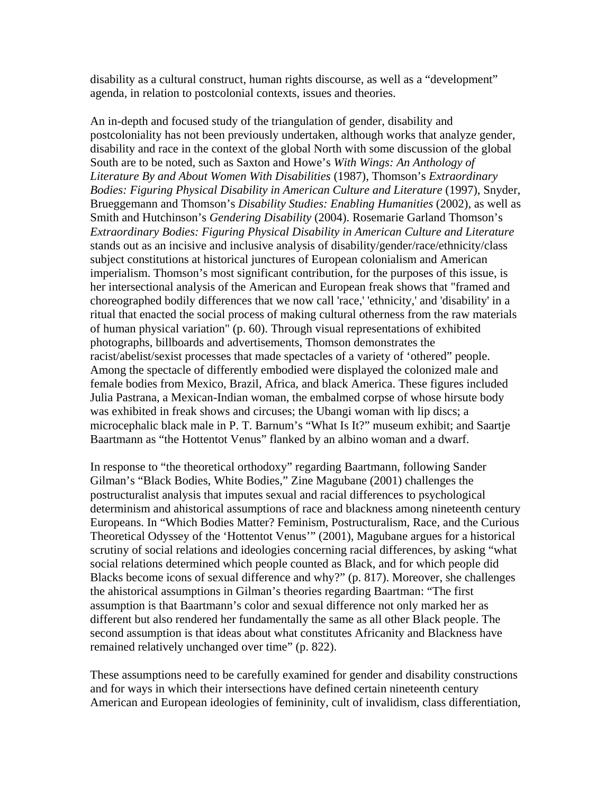disability as a cultural construct, human rights discourse, as well as a "development" agenda, in relation to postcolonial contexts, issues and theories.

An in-depth and focused study of the triangulation of gender, disability and postcoloniality has not been previously undertaken, although works that analyze gender, disability and race in the context of the global North with some discussion of the global South are to be noted, such as Saxton and Howe's *With Wings: An Anthology of Literature By and About Women With Disabilities* (1987), Thomson's *Extraordinary Bodies: Figuring Physical Disability in American Culture and Literature* (1997), Snyder, Brueggemann and Thomson's *Disability Studies: Enabling Humanities* (2002), as well as Smith and Hutchinson's *Gendering Disability* (2004). Rosemarie Garland Thomson's *Extraordinary Bodies: Figuring Physical Disability in American Culture and Literature* stands out as an incisive and inclusive analysis of disability/gender/race/ethnicity/class subject constitutions at historical junctures of European colonialism and American imperialism. Thomson's most significant contribution, for the purposes of this issue, is her intersectional analysis of the American and European freak shows that "framed and choreographed bodily differences that we now call 'race,' 'ethnicity,' and 'disability' in a ritual that enacted the social process of making cultural otherness from the raw materials of human physical variation" (p. 60). Through visual representations of exhibited photographs, billboards and advertisements, Thomson demonstrates the racist/abelist/sexist processes that made spectacles of a variety of 'othered" people. Among the spectacle of differently embodied were displayed the colonized male and female bodies from Mexico, Brazil, Africa, and black America. These figures included Julia Pastrana, a Mexican-Indian woman, the embalmed corpse of whose hirsute body was exhibited in freak shows and circuses; the Ubangi woman with lip discs; a microcephalic black male in P. T. Barnum's "What Is It?" museum exhibit; and Saartje Baartmann as "the Hottentot Venus" flanked by an albino woman and a dwarf.

In response to "the theoretical orthodoxy" regarding Baartmann, following Sander Gilman's "Black Bodies, White Bodies," Zine Magubane (2001) challenges the postructuralist analysis that imputes sexual and racial differences to psychological determinism and ahistorical assumptions of race and blackness among nineteenth century Europeans. In "Which Bodies Matter? Feminism, Postructuralism, Race, and the Curious Theoretical Odyssey of the 'Hottentot Venus'" (2001), Magubane argues for a historical scrutiny of social relations and ideologies concerning racial differences, by asking "what social relations determined which people counted as Black, and for which people did Blacks become icons of sexual difference and why?" (p. 817). Moreover, she challenges the ahistorical assumptions in Gilman's theories regarding Baartman: "The first assumption is that Baartmann's color and sexual difference not only marked her as different but also rendered her fundamentally the same as all other Black people. The second assumption is that ideas about what constitutes Africanity and Blackness have remained relatively unchanged over time" (p. 822).

These assumptions need to be carefully examined for gender and disability constructions and for ways in which their intersections have defined certain nineteenth century American and European ideologies of femininity, cult of invalidism, class differentiation,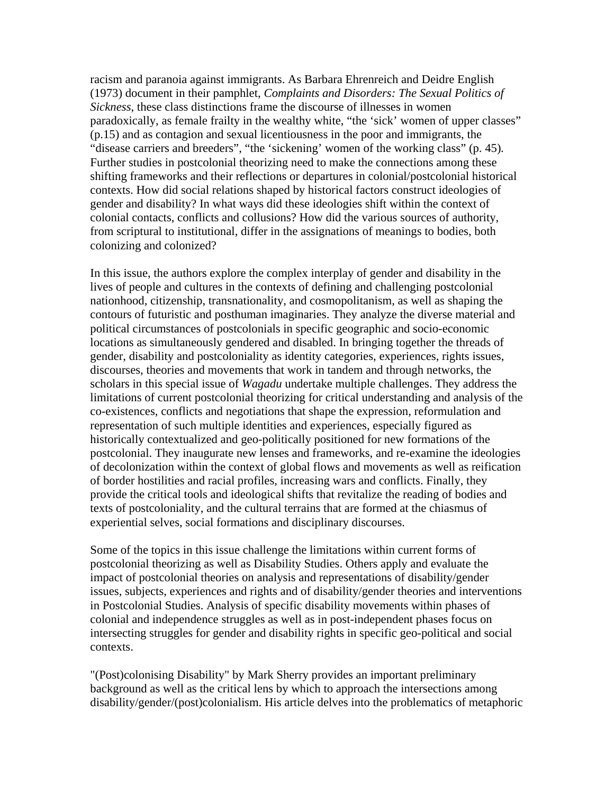racism and paranoia against immigrants. As Barbara Ehrenreich and Deidre English (1973) document in their pamphlet, *Complaints and Disorders: The Sexual Politics of Sickness*, these class distinctions frame the discourse of illnesses in women paradoxically, as female frailty in the wealthy white, "the 'sick' women of upper classes" (p.15) and as contagion and sexual licentiousness in the poor and immigrants, the "disease carriers and breeders", "the 'sickening' women of the working class" (p. 45)*.*  Further studies in postcolonial theorizing need to make the connections among these shifting frameworks and their reflections or departures in colonial/postcolonial historical contexts. How did social relations shaped by historical factors construct ideologies of gender and disability? In what ways did these ideologies shift within the context of colonial contacts, conflicts and collusions? How did the various sources of authority, from scriptural to institutional, differ in the assignations of meanings to bodies, both colonizing and colonized?

In this issue, the authors explore the complex interplay of gender and disability in the lives of people and cultures in the contexts of defining and challenging postcolonial nationhood, citizenship, transnationality, and cosmopolitanism, as well as shaping the contours of futuristic and posthuman imaginaries. They analyze the diverse material and political circumstances of postcolonials in specific geographic and socio-economic locations as simultaneously gendered and disabled. In bringing together the threads of gender, disability and postcoloniality as identity categories, experiences, rights issues, discourses, theories and movements that work in tandem and through networks, the scholars in this special issue of *Wagadu* undertake multiple challenges. They address the limitations of current postcolonial theorizing for critical understanding and analysis of the co-existences, conflicts and negotiations that shape the expression, reformulation and representation of such multiple identities and experiences, especially figured as historically contextualized and geo-politically positioned for new formations of the postcolonial. They inaugurate new lenses and frameworks, and re-examine the ideologies of decolonization within the context of global flows and movements as well as reification of border hostilities and racial profiles, increasing wars and conflicts. Finally, they provide the critical tools and ideological shifts that revitalize the reading of bodies and texts of postcoloniality, and the cultural terrains that are formed at the chiasmus of experiential selves, social formations and disciplinary discourses.

Some of the topics in this issue challenge the limitations within current forms of postcolonial theorizing as well as Disability Studies. Others apply and evaluate the impact of postcolonial theories on analysis and representations of disability/gender issues, subjects, experiences and rights and of disability/gender theories and interventions in Postcolonial Studies. Analysis of specific disability movements within phases of colonial and independence struggles as well as in post-independent phases focus on intersecting struggles for gender and disability rights in specific geo-political and social contexts.

"(Post)colonising Disability" by Mark Sherry provides an important preliminary background as well as the critical lens by which to approach the intersections among disability/gender/(post)colonialism. His article delves into the problematics of metaphoric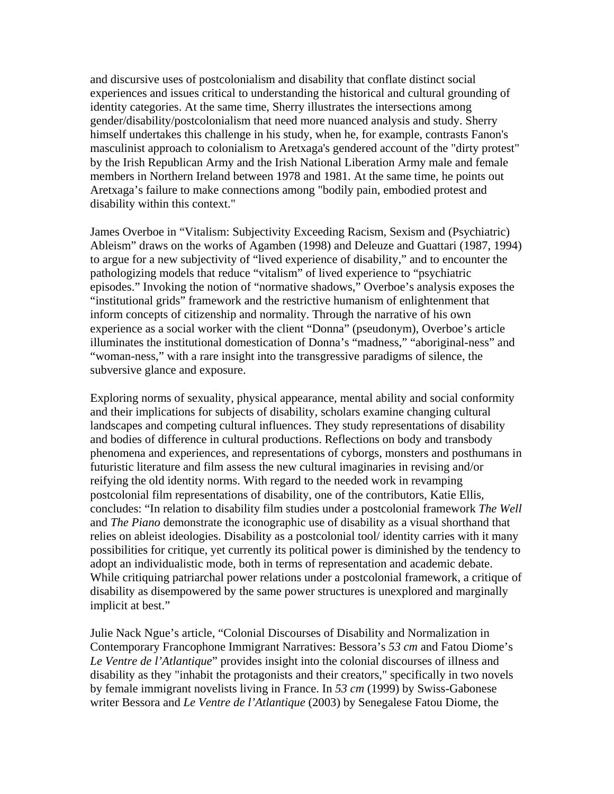and discursive uses of postcolonialism and disability that conflate distinct social experiences and issues critical to understanding the historical and cultural grounding of identity categories. At the same time, Sherry illustrates the intersections among gender/disability/postcolonialism that need more nuanced analysis and study. Sherry himself undertakes this challenge in his study, when he, for example, contrasts Fanon's masculinist approach to colonialism to Aretxaga's gendered account of the "dirty protest" by the Irish Republican Army and the Irish National Liberation Army male and female members in Northern Ireland between 1978 and 1981. At the same time, he points out Aretxaga's failure to make connections among "bodily pain, embodied protest and disability within this context."

James Overboe in "Vitalism: Subjectivity Exceeding Racism, Sexism and (Psychiatric) Ableism" draws on the works of Agamben (1998) and Deleuze and Guattari (1987, 1994) to argue for a new subjectivity of "lived experience of disability," and to encounter the pathologizing models that reduce "vitalism" of lived experience to "psychiatric episodes." Invoking the notion of "normative shadows," Overboe's analysis exposes the "institutional grids" framework and the restrictive humanism of enlightenment that inform concepts of citizenship and normality. Through the narrative of his own experience as a social worker with the client "Donna" (pseudonym), Overboe's article illuminates the institutional domestication of Donna's "madness," "aboriginal-ness" and "woman-ness," with a rare insight into the transgressive paradigms of silence, the subversive glance and exposure.

Exploring norms of sexuality, physical appearance, mental ability and social conformity and their implications for subjects of disability, scholars examine changing cultural landscapes and competing cultural influences. They study representations of disability and bodies of difference in cultural productions. Reflections on body and transbody phenomena and experiences, and representations of cyborgs, monsters and posthumans in futuristic literature and film assess the new cultural imaginaries in revising and/or reifying the old identity norms. With regard to the needed work in revamping postcolonial film representations of disability, one of the contributors, Katie Ellis, concludes: "In relation to disability film studies under a postcolonial framework *The Well* and *The Piano* demonstrate the iconographic use of disability as a visual shorthand that relies on ableist ideologies. Disability as a postcolonial tool/ identity carries with it many possibilities for critique, yet currently its political power is diminished by the tendency to adopt an individualistic mode, both in terms of representation and academic debate. While critiquing patriarchal power relations under a postcolonial framework, a critique of disability as disempowered by the same power structures is unexplored and marginally implicit at best."

Julie Nack Ngue's article, "Colonial Discourses of Disability and Normalization in Contemporary Francophone Immigrant Narratives: Bessora's *53 cm* and Fatou Diome's *Le Ventre de l'Atlantique*" provides insight into the colonial discourses of illness and disability as they "inhabit the protagonists and their creators," specifically in two novels by female immigrant novelists living in France. In *53 cm* (1999) by Swiss-Gabonese writer Bessora and *Le Ventre de l'Atlantique* (2003) by Senegalese Fatou Diome, the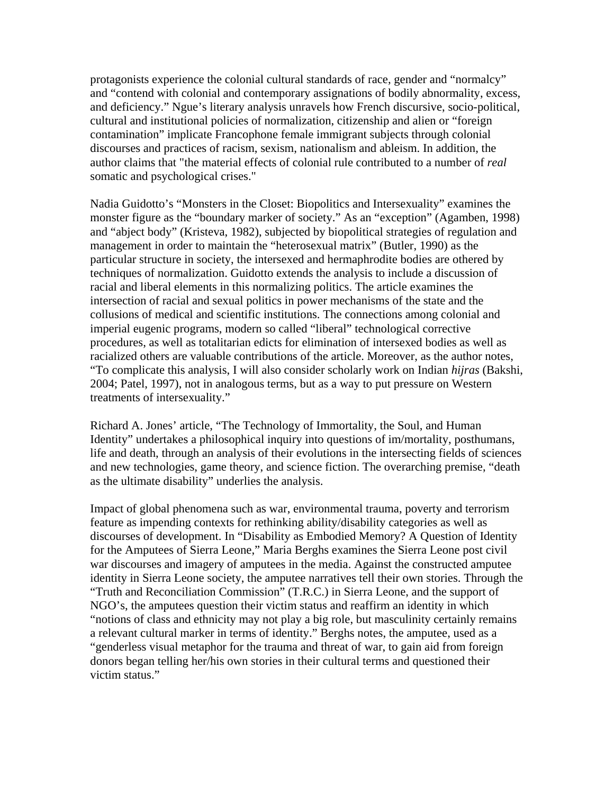protagonists experience the colonial cultural standards of race, gender and "normalcy" and "contend with colonial and contemporary assignations of bodily abnormality, excess, and deficiency." Ngue's literary analysis unravels how French discursive, socio-political, cultural and institutional policies of normalization, citizenship and alien or "foreign contamination" implicate Francophone female immigrant subjects through colonial discourses and practices of racism, sexism, nationalism and ableism. In addition, the author claims that "the material effects of colonial rule contributed to a number of *real*  somatic and psychological crises."

Nadia Guidotto's "Monsters in the Closet: Biopolitics and Intersexuality" examines the monster figure as the "boundary marker of society." As an "exception" (Agamben, 1998) and "abject body" (Kristeva, 1982), subjected by biopolitical strategies of regulation and management in order to maintain the "heterosexual matrix" (Butler, 1990) as the particular structure in society, the intersexed and hermaphrodite bodies are othered by techniques of normalization. Guidotto extends the analysis to include a discussion of racial and liberal elements in this normalizing politics. The article examines the intersection of racial and sexual politics in power mechanisms of the state and the collusions of medical and scientific institutions. The connections among colonial and imperial eugenic programs, modern so called "liberal" technological corrective procedures, as well as totalitarian edicts for elimination of intersexed bodies as well as racialized others are valuable contributions of the article. Moreover, as the author notes, "To complicate this analysis, I will also consider scholarly work on Indian *hijras* (Bakshi, 2004; Patel, 1997), not in analogous terms, but as a way to put pressure on Western treatments of intersexuality."

Richard A. Jones' article, "The Technology of Immortality, the Soul, and Human Identity" undertakes a philosophical inquiry into questions of im/mortality, posthumans, life and death, through an analysis of their evolutions in the intersecting fields of sciences and new technologies, game theory, and science fiction. The overarching premise, "death as the ultimate disability" underlies the analysis.

Impact of global phenomena such as war, environmental trauma, poverty and terrorism feature as impending contexts for rethinking ability/disability categories as well as discourses of development. In "Disability as Embodied Memory? A Question of Identity for the Amputees of Sierra Leone," Maria Berghs examines the Sierra Leone post civil war discourses and imagery of amputees in the media. Against the constructed amputee identity in Sierra Leone society, the amputee narratives tell their own stories. Through the "Truth and Reconciliation Commission" (T.R.C.) in Sierra Leone, and the support of NGO's, the amputees question their victim status and reaffirm an identity in which "notions of class and ethnicity may not play a big role, but masculinity certainly remains a relevant cultural marker in terms of identity." Berghs notes, the amputee, used as a "genderless visual metaphor for the trauma and threat of war, to gain aid from foreign donors began telling her/his own stories in their cultural terms and questioned their victim status."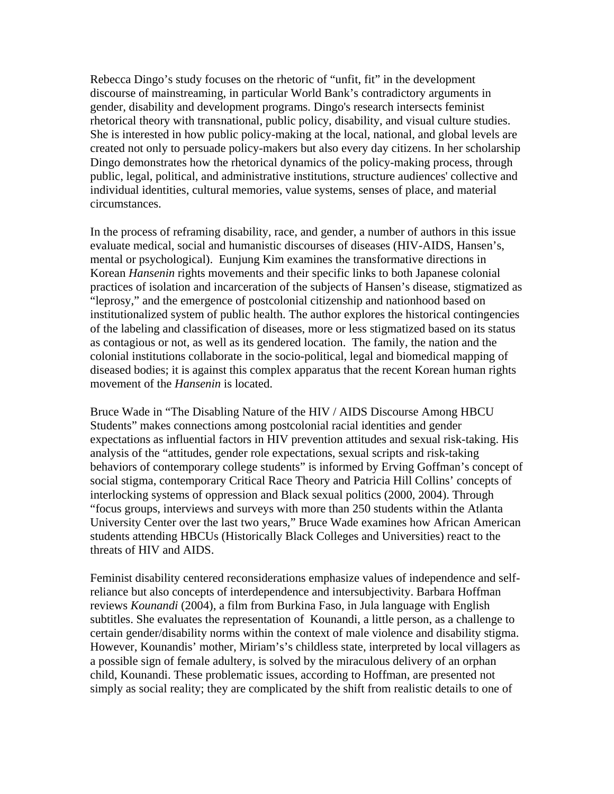Rebecca Dingo's study focuses on the rhetoric of "unfit, fit" in the development discourse of mainstreaming, in particular World Bank's contradictory arguments in gender, disability and development programs. Dingo's research intersects feminist rhetorical theory with transnational, public policy, disability, and visual culture studies. She is interested in how public policy-making at the local, national, and global levels are created not only to persuade policy-makers but also every day citizens. In her scholarship Dingo demonstrates how the rhetorical dynamics of the policy-making process, through public, legal, political, and administrative institutions, structure audiences' collective and individual identities, cultural memories, value systems, senses of place, and material circumstances.

In the process of reframing disability, race, and gender, a number of authors in this issue evaluate medical, social and humanistic discourses of diseases (HIV-AIDS, Hansen's, mental or psychological). Eunjung Kim examines the transformative directions in Korean *Hansenin* rights movements and their specific links to both Japanese colonial practices of isolation and incarceration of the subjects of Hansen's disease, stigmatized as "leprosy," and the emergence of postcolonial citizenship and nationhood based on institutionalized system of public health. The author explores the historical contingencies of the labeling and classification of diseases, more or less stigmatized based on its status as contagious or not, as well as its gendered location. The family, the nation and the colonial institutions collaborate in the socio-political, legal and biomedical mapping of diseased bodies; it is against this complex apparatus that the recent Korean human rights movement of the *Hansenin* is located.

Bruce Wade in "The Disabling Nature of the HIV / AIDS Discourse Among HBCU Students" makes connections among postcolonial racial identities and gender expectations as influential factors in HIV prevention attitudes and sexual risk-taking. His analysis of the "attitudes, gender role expectations, sexual scripts and risk-taking behaviors of contemporary college students" is informed by Erving Goffman's concept of social stigma, contemporary Critical Race Theory and Patricia Hill Collins' concepts of interlocking systems of oppression and Black sexual politics (2000, 2004). Through "focus groups, interviews and surveys with more than 250 students within the Atlanta University Center over the last two years," Bruce Wade examines how African American students attending HBCUs (Historically Black Colleges and Universities) react to the threats of HIV and AIDS.

Feminist disability centered reconsiderations emphasize values of independence and selfreliance but also concepts of interdependence and intersubjectivity. Barbara Hoffman reviews *Kounandi* (2004), a film from Burkina Faso, in Jula language with English subtitles. She evaluates the representation of Kounandi, a little person, as a challenge to certain gender/disability norms within the context of male violence and disability stigma. However, Kounandis' mother, Miriam's's childless state, interpreted by local villagers as a possible sign of female adultery, is solved by the miraculous delivery of an orphan child, Kounandi. These problematic issues, according to Hoffman, are presented not simply as social reality; they are complicated by the shift from realistic details to one of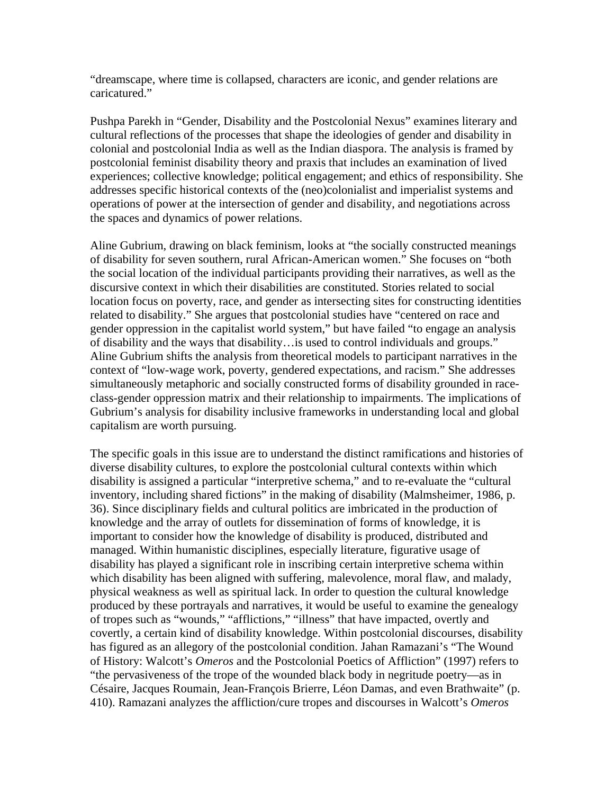"dreamscape, where time is collapsed, characters are iconic, and gender relations are caricatured."

Pushpa Parekh in "Gender, Disability and the Postcolonial Nexus" examines literary and cultural reflections of the processes that shape the ideologies of gender and disability in colonial and postcolonial India as well as the Indian diaspora. The analysis is framed by postcolonial feminist disability theory and praxis that includes an examination of lived experiences; collective knowledge; political engagement; and ethics of responsibility. She addresses specific historical contexts of the (neo)colonialist and imperialist systems and operations of power at the intersection of gender and disability, and negotiations across the spaces and dynamics of power relations.

Aline Gubrium, drawing on black feminism, looks at "the socially constructed meanings of disability for seven southern, rural African-American women." She focuses on "both the social location of the individual participants providing their narratives, as well as the discursive context in which their disabilities are constituted. Stories related to social location focus on poverty, race, and gender as intersecting sites for constructing identities related to disability." She argues that postcolonial studies have "centered on race and gender oppression in the capitalist world system," but have failed "to engage an analysis of disability and the ways that disability…is used to control individuals and groups." Aline Gubrium shifts the analysis from theoretical models to participant narratives in the context of "low-wage work, poverty, gendered expectations, and racism." She addresses simultaneously metaphoric and socially constructed forms of disability grounded in raceclass-gender oppression matrix and their relationship to impairments. The implications of Gubrium's analysis for disability inclusive frameworks in understanding local and global capitalism are worth pursuing.

The specific goals in this issue are to understand the distinct ramifications and histories of diverse disability cultures, to explore the postcolonial cultural contexts within which disability is assigned a particular "interpretive schema," and to re-evaluate the "cultural inventory, including shared fictions" in the making of disability (Malmsheimer, 1986, p. 36). Since disciplinary fields and cultural politics are imbricated in the production of knowledge and the array of outlets for dissemination of forms of knowledge, it is important to consider how the knowledge of disability is produced, distributed and managed. Within humanistic disciplines, especially literature, figurative usage of disability has played a significant role in inscribing certain interpretive schema within which disability has been aligned with suffering, malevolence, moral flaw, and malady, physical weakness as well as spiritual lack. In order to question the cultural knowledge produced by these portrayals and narratives, it would be useful to examine the genealogy of tropes such as "wounds," "afflictions," "illness" that have impacted, overtly and covertly, a certain kind of disability knowledge. Within postcolonial discourses, disability has figured as an allegory of the postcolonial condition. Jahan Ramazani's "The Wound of History: Walcott's *Omeros* and the Postcolonial Poetics of Affliction" (1997) refers to "the pervasiveness of the trope of the wounded black body in negritude poetry—as in Césaire, Jacques Roumain, Jean-François Brierre, Léon Damas, and even Brathwaite" (p. 410). Ramazani analyzes the affliction/cure tropes and discourses in Walcott's *Omeros*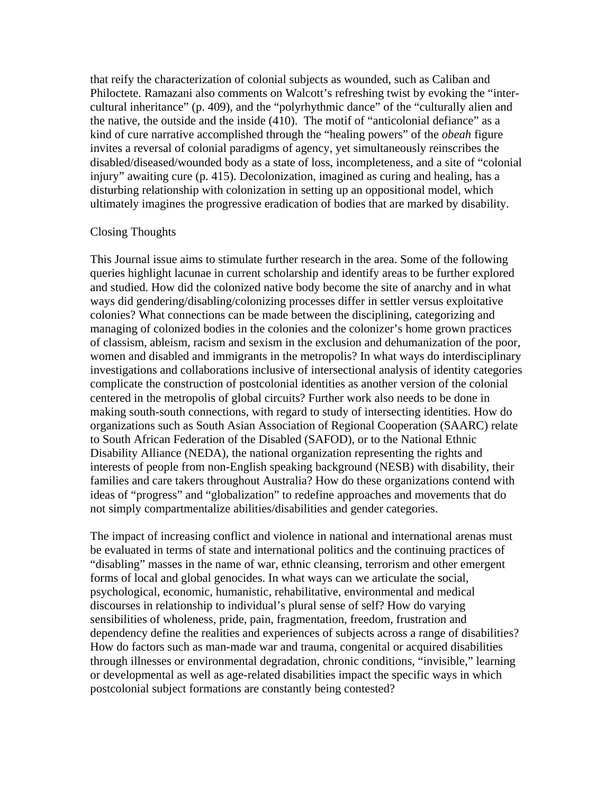that reify the characterization of colonial subjects as wounded, such as Caliban and Philoctete. Ramazani also comments on Walcott's refreshing twist by evoking the "intercultural inheritance" (p. 409), and the "polyrhythmic dance" of the "culturally alien and the native, the outside and the inside (410). The motif of "anticolonial defiance" as a kind of cure narrative accomplished through the "healing powers" of the *obeah* figure invites a reversal of colonial paradigms of agency, yet simultaneously reinscribes the disabled/diseased/wounded body as a state of loss, incompleteness, and a site of "colonial injury" awaiting cure (p. 415). Decolonization, imagined as curing and healing, has a disturbing relationship with colonization in setting up an oppositional model, which ultimately imagines the progressive eradication of bodies that are marked by disability.

## Closing Thoughts

This Journal issue aims to stimulate further research in the area. Some of the following queries highlight lacunae in current scholarship and identify areas to be further explored and studied. How did the colonized native body become the site of anarchy and in what ways did gendering/disabling/colonizing processes differ in settler versus exploitative colonies? What connections can be made between the disciplining, categorizing and managing of colonized bodies in the colonies and the colonizer's home grown practices of classism, ableism, racism and sexism in the exclusion and dehumanization of the poor, women and disabled and immigrants in the metropolis? In what ways do interdisciplinary investigations and collaborations inclusive of intersectional analysis of identity categories complicate the construction of postcolonial identities as another version of the colonial centered in the metropolis of global circuits? Further work also needs to be done in making south-south connections, with regard to study of intersecting identities. How do organizations such as South Asian Association of Regional Cooperation (SAARC) relate to South African Federation of the Disabled (SAFOD), or to the National Ethnic Disability Alliance (NEDA), the national organization representing the rights and interests of people from non-English speaking background (NESB) with disability, their families and care takers throughout Australia? How do these organizations contend with ideas of "progress" and "globalization" to redefine approaches and movements that do not simply compartmentalize abilities/disabilities and gender categories.

The impact of increasing conflict and violence in national and international arenas must be evaluated in terms of state and international politics and the continuing practices of "disabling" masses in the name of war, ethnic cleansing, terrorism and other emergent forms of local and global genocides. In what ways can we articulate the social, psychological, economic, humanistic, rehabilitative, environmental and medical discourses in relationship to individual's plural sense of self? How do varying sensibilities of wholeness, pride, pain, fragmentation, freedom, frustration and dependency define the realities and experiences of subjects across a range of disabilities? How do factors such as man-made war and trauma, congenital or acquired disabilities through illnesses or environmental degradation, chronic conditions, "invisible," learning or developmental as well as age-related disabilities impact the specific ways in which postcolonial subject formations are constantly being contested?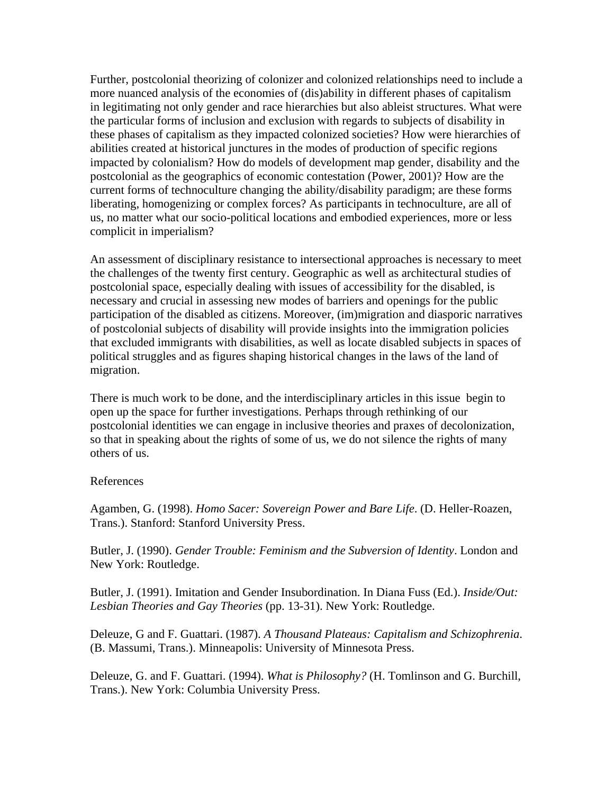Further, postcolonial theorizing of colonizer and colonized relationships need to include a more nuanced analysis of the economies of (dis)ability in different phases of capitalism in legitimating not only gender and race hierarchies but also ableist structures. What were the particular forms of inclusion and exclusion with regards to subjects of disability in these phases of capitalism as they impacted colonized societies? How were hierarchies of abilities created at historical junctures in the modes of production of specific regions impacted by colonialism? How do models of development map gender, disability and the postcolonial as the geographics of economic contestation (Power, 2001)? How are the current forms of technoculture changing the ability/disability paradigm; are these forms liberating, homogenizing or complex forces? As participants in technoculture, are all of us, no matter what our socio-political locations and embodied experiences, more or less complicit in imperialism?

An assessment of disciplinary resistance to intersectional approaches is necessary to meet the challenges of the twenty first century. Geographic as well as architectural studies of postcolonial space, especially dealing with issues of accessibility for the disabled, is necessary and crucial in assessing new modes of barriers and openings for the public participation of the disabled as citizens. Moreover, (im)migration and diasporic narratives of postcolonial subjects of disability will provide insights into the immigration policies that excluded immigrants with disabilities, as well as locate disabled subjects in spaces of political struggles and as figures shaping historical changes in the laws of the land of migration.

There is much work to be done, and the interdisciplinary articles in this issue begin to open up the space for further investigations. Perhaps through rethinking of our postcolonial identities we can engage in inclusive theories and praxes of decolonization, so that in speaking about the rights of some of us, we do not silence the rights of many others of us.

#### References

Agamben, G. (1998). *Homo Sacer: Sovereign Power and Bare Life*. (D. Heller-Roazen, Trans.). Stanford: Stanford University Press.

Butler, J. (1990). *Gender Trouble: Feminism and the Subversion of Identity*. London and New York: Routledge.

Butler, J. (1991). Imitation and Gender Insubordination. In Diana Fuss (Ed.). *Inside/Out: Lesbian Theories and Gay Theories* (pp. 13-31). New York: Routledge.

Deleuze, G and F. Guattari. (1987). *A Thousand Plateaus: Capitalism and Schizophrenia*. (B. Massumi, Trans.). Minneapolis: University of Minnesota Press.

Deleuze, G. and F. Guattari. (1994). *What is Philosophy?* (H. Tomlinson and G. Burchill, Trans.). New York: Columbia University Press.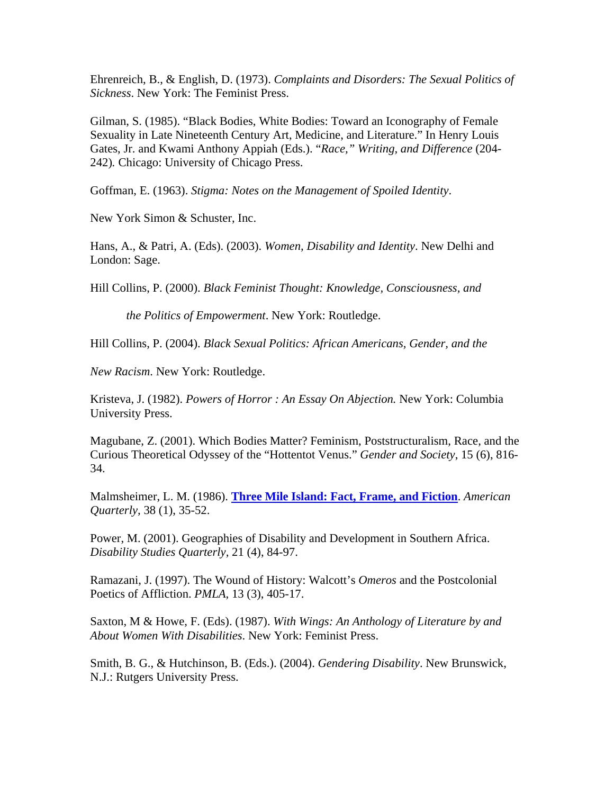Ehrenreich, B., & English, D. (1973). *Complaints and Disorders: The Sexual Politics of Sickness*. New York: The Feminist Press.

Gilman, S. (1985). "Black Bodies, White Bodies: Toward an Iconography of Female Sexuality in Late Nineteenth Century Art, Medicine, and Literature." In Henry Louis Gates, Jr. and Kwami Anthony Appiah (Eds.). "*Race," Writing, and Difference* (204- 242)*.* Chicago: University of Chicago Press.

Goffman, E. (1963). *Stigma: Notes on the Management of Spoiled Identity*.

New York Simon & Schuster, Inc.

Hans, A., & Patri, A. (Eds). (2003). *Women, Disability and Identity*. New Delhi and London: Sage.

Hill Collins, P. (2000). *Black Feminist Thought: Knowledge, Consciousness, and*

 *the Politics of Empowerment*. New York: Routledge.

Hill Collins, P. (2004). *Black Sexual Politics: African Americans, Gender, and the*

*New Racism*. New York: Routledge.

Kristeva, J. (1982). *Powers of Horror : An Essay On Abjection.* New York: Columbia University Press.

Magubane, Z. (2001). Which Bodies Matter? Feminism, Poststructuralism, Race, and the Curious Theoretical Odyssey of the "Hottentot Venus." *Gender and Society*, 15 (6), 816- 34.

Malmsheimer, L. M. (1986). **Three Mile Island: Fact, Frame, and Fiction**. *American Quarterly,* 38 (1), 35-52.

Power, M. (2001). Geographies of Disability and Development in Southern Africa. *Disability Studies Quarterly,* 21 (4), 84-97.

Ramazani, J. (1997). The Wound of History: Walcott's *Omeros* and the Postcolonial Poetics of Affliction. *PMLA,* 13 (3), 405-17.

Saxton, M & Howe, F. (Eds). (1987). *With Wings: An Anthology of Literature by and About Women With Disabilities*. New York: Feminist Press.

Smith, B. G., & Hutchinson, B. (Eds.). (2004). *Gendering Disability*. New Brunswick, N.J.: Rutgers University Press.